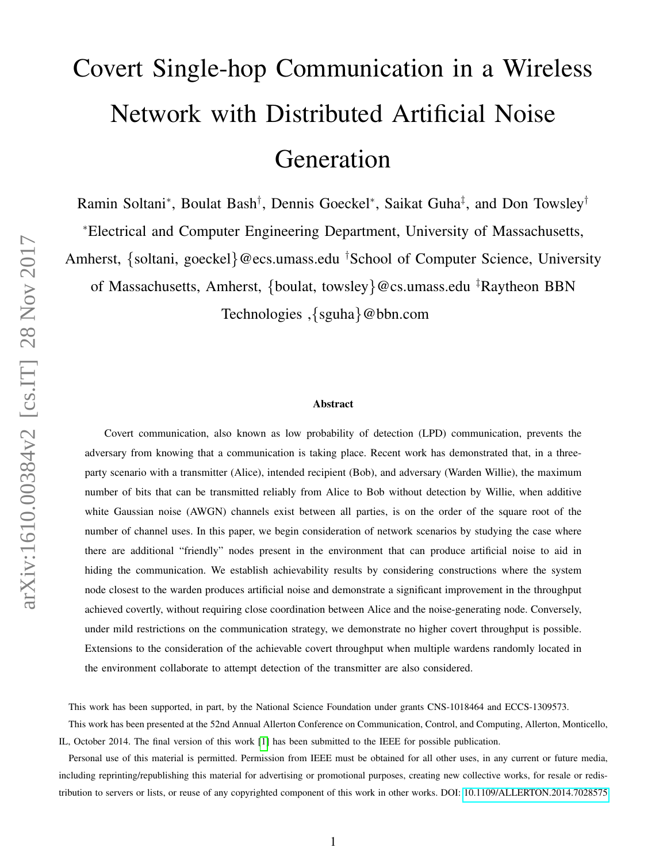# Covert Single-hop Communication in a Wireless Network with Distributed Artificial Noise Generation

Ramin Soltani<sup>∗</sup>, Boulat Bash<sup>†</sup>, Dennis Goeckel<sup>∗</sup>, Saikat Guha<sup>‡</sup>, and Don Towsley<sup>†</sup>

<sup>∗</sup>Electrical and Computer Engineering Department, University of Massachusetts,

Amherst, {soltani, goeckel}@ecs.umass.edu †School of Computer Science, University

of Massachusetts, Amherst, {boulat, towsley}@cs.umass.edu ‡Raytheon BBN

Technologies ,{sguha}@bbn.com

#### Abstract

Covert communication, also known as low probability of detection (LPD) communication, prevents the adversary from knowing that a communication is taking place. Recent work has demonstrated that, in a threeparty scenario with a transmitter (Alice), intended recipient (Bob), and adversary (Warden Willie), the maximum number of bits that can be transmitted reliably from Alice to Bob without detection by Willie, when additive white Gaussian noise (AWGN) channels exist between all parties, is on the order of the square root of the number of channel uses. In this paper, we begin consideration of network scenarios by studying the case where there are additional "friendly" nodes present in the environment that can produce artificial noise to aid in hiding the communication. We establish achievability results by considering constructions where the system node closest to the warden produces artificial noise and demonstrate a significant improvement in the throughput achieved covertly, without requiring close coordination between Alice and the noise-generating node. Conversely, under mild restrictions on the communication strategy, we demonstrate no higher covert throughput is possible. Extensions to the consideration of the achievable covert throughput when multiple wardens randomly located in the environment collaborate to attempt detection of the transmitter are also considered.

This work has been supported, in part, by the National Science Foundation under grants CNS-1018464 and ECCS-1309573.

This work has been presented at the 52nd Annual Allerton Conference on Communication, Control, and Computing, Allerton, Monticello, IL, October 2014. The final version of this work [\[1\]](#page-15-0) has been submitted to the IEEE for possible publication.

Personal use of this material is permitted. Permission from IEEE must be obtained for all other uses, in any current or future media, including reprinting/republishing this material for advertising or promotional purposes, creating new collective works, for resale or redistribution to servers or lists, or reuse of any copyrighted component of this work in other works. DOI: [10.1109/ALLERTON.2014.7028575](https://doi.org/10.1109/ALLERTON.2014.7028575)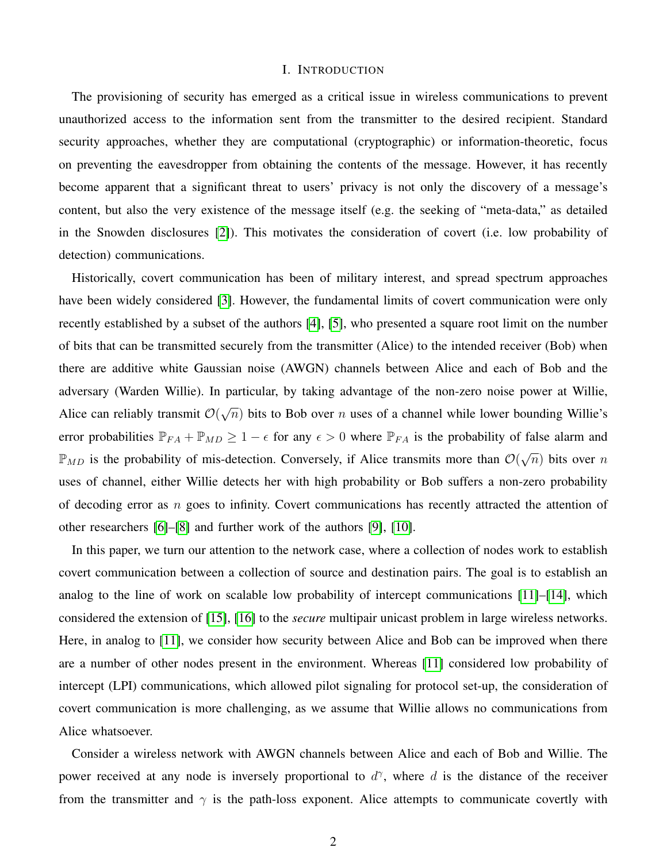#### I. INTRODUCTION

The provisioning of security has emerged as a critical issue in wireless communications to prevent unauthorized access to the information sent from the transmitter to the desired recipient. Standard security approaches, whether they are computational (cryptographic) or information-theoretic, focus on preventing the eavesdropper from obtaining the contents of the message. However, it has recently become apparent that a significant threat to users' privacy is not only the discovery of a message's content, but also the very existence of the message itself (e.g. the seeking of "meta-data," as detailed in the Snowden disclosures [\[2\]](#page-15-1)). This motivates the consideration of covert (i.e. low probability of detection) communications.

Historically, covert communication has been of military interest, and spread spectrum approaches have been widely considered [\[3\]](#page-15-2). However, the fundamental limits of covert communication were only recently established by a subset of the authors [\[4\]](#page-15-3), [\[5\]](#page-15-4), who presented a square root limit on the number of bits that can be transmitted securely from the transmitter (Alice) to the intended receiver (Bob) when there are additive white Gaussian noise (AWGN) channels between Alice and each of Bob and the adversary (Warden Willie). In particular, by taking advantage of the non-zero noise power at Willie, Alice can reliably transmit  $\mathcal{O}(\mathbb{C})$ √  $\overline{n}$ ) bits to Bob over *n* uses of a channel while lower bounding Willie's error probabilities  $\mathbb{P}_{FA} + \mathbb{P}_{MD} \ge 1 - \epsilon$  for any  $\epsilon > 0$  where  $\mathbb{P}_{FA}$  is the probability of false alarm and  $\mathbb{P}_{MD}$  is the probability of mis-detection. Conversely, if Alice transmits more than  $\mathcal{O}(\sqrt{\epsilon})$  $\overline{n}$ ) bits over n uses of channel, either Willie detects her with high probability or Bob suffers a non-zero probability of decoding error as n goes to infinity. Covert communications has recently attracted the attention of other researchers [\[6\]](#page-15-5)–[\[8\]](#page-15-6) and further work of the authors [\[9\]](#page-15-7), [\[10\]](#page-15-8).

In this paper, we turn our attention to the network case, where a collection of nodes work to establish covert communication between a collection of source and destination pairs. The goal is to establish an analog to the line of work on scalable low probability of intercept communications [\[11\]](#page-15-9)–[\[14\]](#page-15-10), which considered the extension of [\[15\]](#page-15-11), [\[16\]](#page-16-0) to the *secure* multipair unicast problem in large wireless networks. Here, in analog to [\[11\]](#page-15-9), we consider how security between Alice and Bob can be improved when there are a number of other nodes present in the environment. Whereas [\[11\]](#page-15-9) considered low probability of intercept (LPI) communications, which allowed pilot signaling for protocol set-up, the consideration of covert communication is more challenging, as we assume that Willie allows no communications from Alice whatsoever.

Consider a wireless network with AWGN channels between Alice and each of Bob and Willie. The power received at any node is inversely proportional to  $d^{\gamma}$ , where d is the distance of the receiver from the transmitter and  $\gamma$  is the path-loss exponent. Alice attempts to communicate covertly with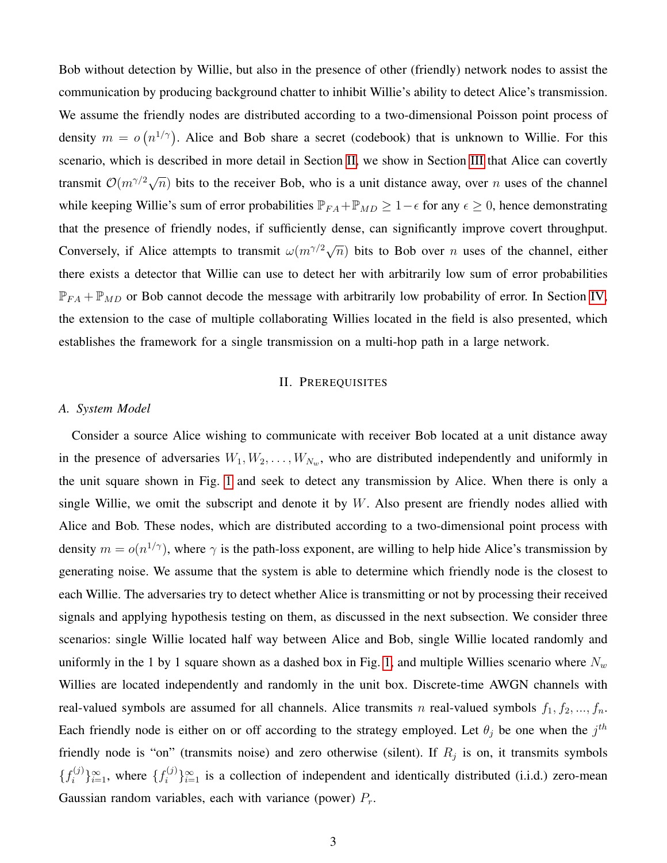Bob without detection by Willie, but also in the presence of other (friendly) network nodes to assist the communication by producing background chatter to inhibit Willie's ability to detect Alice's transmission. We assume the friendly nodes are distributed according to a two-dimensional Poisson point process of density  $m = o(n^{1/\gamma})$ . Alice and Bob share a secret (codebook) that is unknown to Willie. For this scenario, which is described in more detail in Section [II,](#page-2-0) we show in Section [III](#page-4-0) that Alice can covertly transmit  $\mathcal{O}(m^{\gamma/2}\sqrt{n})$  bits to the receiver Bob, who is a unit distance away, over n uses of the channel while keeping Willie's sum of error probabilities  $\mathbb{P}_{FA} + \mathbb{P}_{MD} \ge 1 - \epsilon$  for any  $\epsilon \ge 0$ , hence demonstrating that the presence of friendly nodes, if sufficiently dense, can significantly improve covert throughput. Conversely, if Alice attempts to transmit  $\omega(m^{\gamma/2}\sqrt{n})$  bits to Bob over *n* uses of the channel, either there exists a detector that Willie can use to detect her with arbitrarily low sum of error probabilities  $\mathbb{P}_{FA} + \mathbb{P}_{MD}$  or Bob cannot decode the message with arbitrarily low probability of error. In Section [IV,](#page-11-0) the extension to the case of multiple collaborating Willies located in the field is also presented, which establishes the framework for a single transmission on a multi-hop path in a large network.

#### II. PREREQUISITES

# <span id="page-2-0"></span>*A. System Model*

Consider a source Alice wishing to communicate with receiver Bob located at a unit distance away in the presence of adversaries  $W_1, W_2, \ldots, W_{N_w}$ , who are distributed independently and uniformly in the unit square shown in Fig. [1](#page-3-0) and seek to detect any transmission by Alice. When there is only a single Willie, we omit the subscript and denote it by  $W$ . Also present are friendly nodes allied with Alice and Bob. These nodes, which are distributed according to a two-dimensional point process with density  $m = o(n^{1/\gamma})$ , where  $\gamma$  is the path-loss exponent, are willing to help hide Alice's transmission by generating noise. We assume that the system is able to determine which friendly node is the closest to each Willie. The adversaries try to detect whether Alice is transmitting or not by processing their received signals and applying hypothesis testing on them, as discussed in the next subsection. We consider three scenarios: single Willie located half way between Alice and Bob, single Willie located randomly and uniformly in the 1 by 1 square shown as a dashed box in Fig. [1,](#page-3-0) and multiple Willies scenario where  $N_w$ Willies are located independently and randomly in the unit box. Discrete-time AWGN channels with real-valued symbols are assumed for all channels. Alice transmits n real-valued symbols  $f_1, f_2, ..., f_n$ . Each friendly node is either on or off according to the strategy employed. Let  $\theta_j$  be one when the  $j^{th}$ friendly node is "on" (transmits noise) and zero otherwise (silent). If  $R_j$  is on, it transmits symbols  ${f_i^{(j)}}$  $\{f_i^{(j)}\}_{i=1}^{\infty}$ , where  $\{f_i^{(j)}\}$  $\{e^{(j)}\}_{i=1}^{\infty}$  is a collection of independent and identically distributed (i.i.d.) zero-mean Gaussian random variables, each with variance (power)  $P_r$ .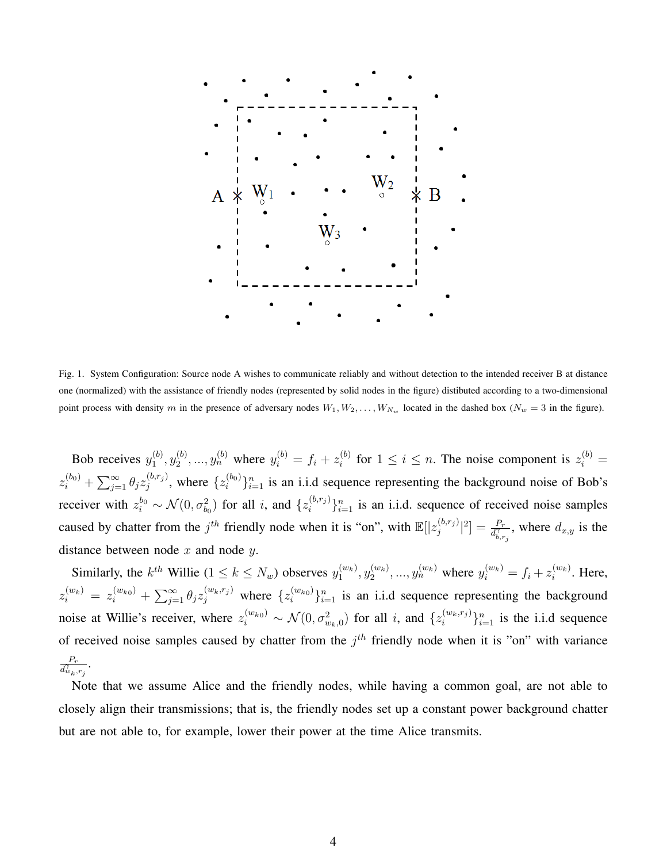

<span id="page-3-0"></span>Fig. 1. System Configuration: Source node A wishes to communicate reliably and without detection to the intended receiver B at distance one (normalized) with the assistance of friendly nodes (represented by solid nodes in the figure) distibuted according to a two-dimensional point process with density m in the presence of adversary nodes  $W_1, W_2, \ldots, W_{N_w}$  located in the dashed box  $(N_w = 3$  in the figure).

Bob receives  $y_1^{(b)}$  $\mathfrak{y}_2^{(b)},\mathfrak{y}_2^{(b)}$  $y_2^{(b)},..., y_n^{(b)}$  where  $y_i^{(b)} = f_i + z_i^{(b)}$  $i^{(b)}$  for  $1 \leq i \leq n$ . The noise component is  $z_i^{(b)} =$  $z_i^{(b_0)} + \sum_{j=1}^{\infty} \theta_j z_j^{(b,r_j)}$  $j^{(b,r_j)}$ , where  $\{z_i^{(b_0)}\}$  $\binom{b_0}{i}$ <sub>i</sub> $\binom{n}{i-1}$  is an i.i.d sequence representing the background noise of Bob's receiver with  $z_i^{b_0} \sim \mathcal{N}(0, \sigma_{b_0}^2)$  for all i, and  $\{z_i^{(b,r_j)}\}$  $\binom{[b,r_j]}{i}$  is an i.i.d. sequence of received noise samples caused by chatter from the  $j^{th}$  friendly node when it is "on", with  $\mathbb{E}[|z_j^{(b,r_j)}|]$  $\int_{j}^{(b,r_j)}|^{2}$ ] =  $\frac{P_r}{d_{b,r_j}^{\gamma}}$ , where  $d_{x,y}$  is the distance between node  $x$  and node  $y$ .

Similarly, the  $k^{th}$  Willie ( $1 \le k \le N_w$ ) observes  $y_1^{(w_k)}$  $\binom{(w_k)}{1},y_2^{(w_k)}$  $y_2^{(w_k)},..., y_n^{(w_k)}$  where  $y_i^{(w_k)} = f_i + z_i^{(w_k)}$  $i^{(w_k)}$ . Here,  $z_i^{(w_k)} = z_i^{(w_{k0})} + \sum_{j=1}^{\infty} \theta_j z_j^{(w_k, r_j)}$  where  $\{z_i^{(w_{k0})}\}$  $\{w_{k0}\}_{k=1}^n$  is an i.i.d sequence representing the background noise at Willie's receiver, where  $z_i^{(w_{k0})} \sim \mathcal{N}(0, \sigma_{w_k,0}^2)$  for all i, and  $\{z_i^{(w_k,r_j)}\}$  $\{e^{(w_k,r_j)}\}_{i=1}^n$  is the i.i.d sequence of received noise samples caused by chatter from the  $j<sup>th</sup>$  friendly node when it is "on" with variance  $P<sub>r</sub>$  $\frac{P_r}{d_{w_k,r_j}^{\gamma}}.$ 

Note that we assume Alice and the friendly nodes, while having a common goal, are not able to closely align their transmissions; that is, the friendly nodes set up a constant power background chatter but are not able to, for example, lower their power at the time Alice transmits.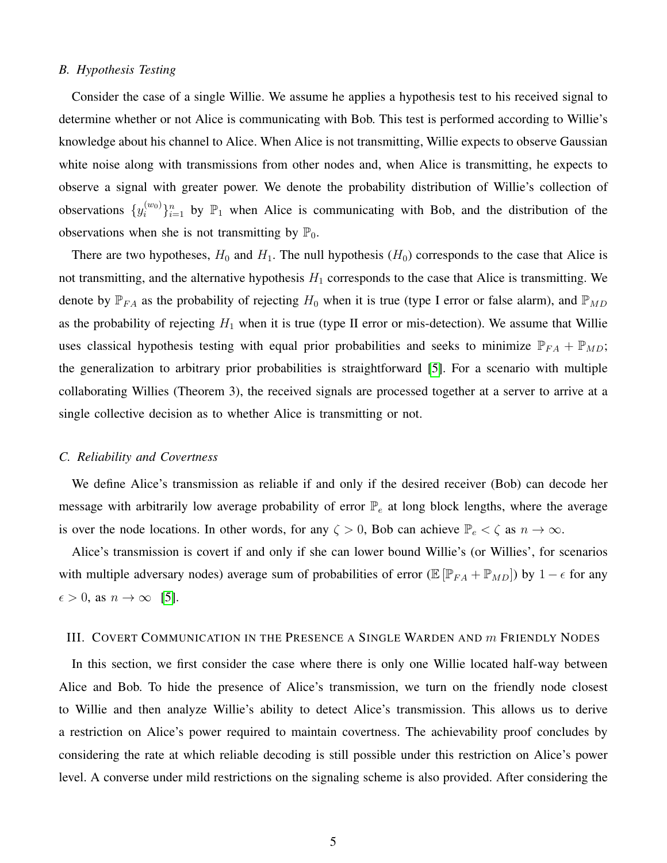# *B. Hypothesis Testing*

Consider the case of a single Willie. We assume he applies a hypothesis test to his received signal to determine whether or not Alice is communicating with Bob. This test is performed according to Willie's knowledge about his channel to Alice. When Alice is not transmitting, Willie expects to observe Gaussian white noise along with transmissions from other nodes and, when Alice is transmitting, he expects to observe a signal with greater power. We denote the probability distribution of Willie's collection of observations  $\{y_i^{(w_0)}\}$  $\binom{(w_0)}{i}$ <sub>i</sub> $\binom{n}{i-1}$  by  $\mathbb{P}_1$  when Alice is communicating with Bob, and the distribution of the observations when she is not transmitting by  $\mathbb{P}_0$ .

There are two hypotheses,  $H_0$  and  $H_1$ . The null hypothesis ( $H_0$ ) corresponds to the case that Alice is not transmitting, and the alternative hypothesis  $H_1$  corresponds to the case that Alice is transmitting. We denote by  $\mathbb{P}_{FA}$  as the probability of rejecting  $H_0$  when it is true (type I error or false alarm), and  $\mathbb{P}_{MD}$ as the probability of rejecting  $H_1$  when it is true (type II error or mis-detection). We assume that Willie uses classical hypothesis testing with equal prior probabilities and seeks to minimize  $\mathbb{P}_{FA} + \mathbb{P}_{MD}$ ; the generalization to arbitrary prior probabilities is straightforward [\[5\]](#page-15-4). For a scenario with multiple collaborating Willies (Theorem 3), the received signals are processed together at a server to arrive at a single collective decision as to whether Alice is transmitting or not.

# *C. Reliability and Covertness*

We define Alice's transmission as reliable if and only if the desired receiver (Bob) can decode her message with arbitrarily low average probability of error  $\mathbb{P}_e$  at long block lengths, where the average is over the node locations. In other words, for any  $\zeta > 0$ , Bob can achieve  $\mathbb{P}_e < \zeta$  as  $n \to \infty$ .

Alice's transmission is covert if and only if she can lower bound Willie's (or Willies', for scenarios with multiple adversary nodes) average sum of probabilities of error ( $\mathbb{E} [\mathbb{P}_{FA} + \mathbb{P}_{MD}]$ ) by  $1 - \epsilon$  for any  $\epsilon > 0$ , as  $n \to \infty$  [\[5\]](#page-15-4).

#### <span id="page-4-0"></span>III. COVERT COMMUNICATION IN THE PRESENCE A SINGLE WARDEN AND  $m$  Friendly Nodes

In this section, we first consider the case where there is only one Willie located half-way between Alice and Bob. To hide the presence of Alice's transmission, we turn on the friendly node closest to Willie and then analyze Willie's ability to detect Alice's transmission. This allows us to derive a restriction on Alice's power required to maintain covertness. The achievability proof concludes by considering the rate at which reliable decoding is still possible under this restriction on Alice's power level. A converse under mild restrictions on the signaling scheme is also provided. After considering the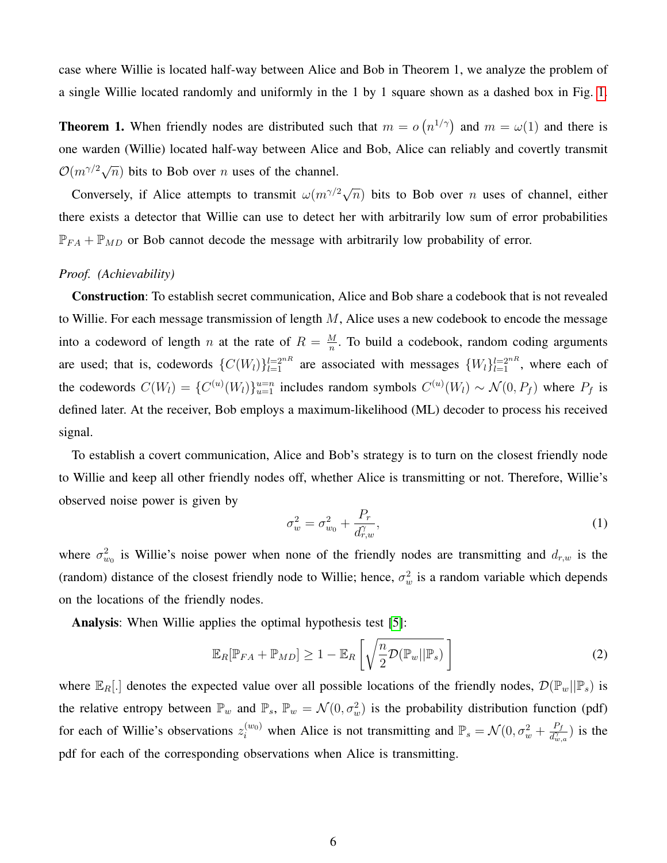case where Willie is located half-way between Alice and Bob in Theorem 1, we analyze the problem of a single Willie located randomly and uniformly in the 1 by 1 square shown as a dashed box in Fig. [1.](#page-3-0)

**Theorem 1.** When friendly nodes are distributed such that  $m = o(n^{1/\gamma})$  and  $m = \omega(1)$  and there is one warden (Willie) located half-way between Alice and Bob, Alice can reliably and covertly transmit  $\mathcal{O}(m^{\gamma/2}\sqrt{n})$  bits to Bob over *n* uses of the channel.

Conversely, if Alice attempts to transmit  $\omega(m^{\gamma/2}\sqrt{n})$  bits to Bob over *n* uses of channel, either there exists a detector that Willie can use to detect her with arbitrarily low sum of error probabilities  $\mathbb{P}_{FA} + \mathbb{P}_{MD}$  or Bob cannot decode the message with arbitrarily low probability of error.

# *Proof. (Achievability)*

Construction: To establish secret communication, Alice and Bob share a codebook that is not revealed to Willie. For each message transmission of length  $M$ , Alice uses a new codebook to encode the message into a codeword of length n at the rate of  $R = \frac{M}{n}$  $\frac{M}{n}$ . To build a codebook, random coding arguments are used; that is, codewords  $\{C(W_l)\}_{l=1}^{l=2^{nR}}$  are associated with messages  $\{W_l\}_{l=1}^{l=2^{nR}}$ , where each of the codewords  $C(W_l) = \{C^{(u)}(W_l)\}_{u=1}^{u=n}$  includes random symbols  $C^{(u)}(W_l) \sim \mathcal{N}(0, P_f)$  where  $P_f$  is defined later. At the receiver, Bob employs a maximum-likelihood (ML) decoder to process his received signal.

To establish a covert communication, Alice and Bob's strategy is to turn on the closest friendly node to Willie and keep all other friendly nodes off, whether Alice is transmitting or not. Therefore, Willie's observed noise power is given by

$$
\sigma_w^2 = \sigma_{w_0}^2 + \frac{P_r}{d_{r,w}^\gamma},\tag{1}
$$

where  $\sigma_{w_0}^2$  is Willie's noise power when none of the friendly nodes are transmitting and  $d_{r,w}$  is the (random) distance of the closest friendly node to Willie; hence,  $\sigma_w^2$  is a random variable which depends on the locations of the friendly nodes.

Analysis: When Willie applies the optimal hypothesis test [\[5\]](#page-15-4):

<span id="page-5-0"></span>
$$
\mathbb{E}_R[\mathbb{P}_{FA} + \mathbb{P}_{MD}] \ge 1 - \mathbb{E}_R\left[\sqrt{\frac{n}{2}\mathcal{D}(\mathbb{P}_w||\mathbb{P}_s)}\right]
$$
(2)

where  $\mathbb{E}_R[.]$  denotes the expected value over all possible locations of the friendly nodes,  $\mathcal{D}(\mathbb{P}_w||\mathbb{P}_s)$  is the relative entropy between  $\mathbb{P}_w$  and  $\mathbb{P}_s$ ,  $\mathbb{P}_w = \mathcal{N}(0, \sigma_w^2)$  is the probability distribution function (pdf) for each of Willie's observations  $z_i^{(w_0)}$  when Alice is not transmitting and  $\mathbb{P}_s = \mathcal{N}(0, \sigma_w^2 + \frac{P_f}{d_w}$  $\frac{P_f}{d_{w,a}^{\gamma}}$ ) is the pdf for each of the corresponding observations when Alice is transmitting.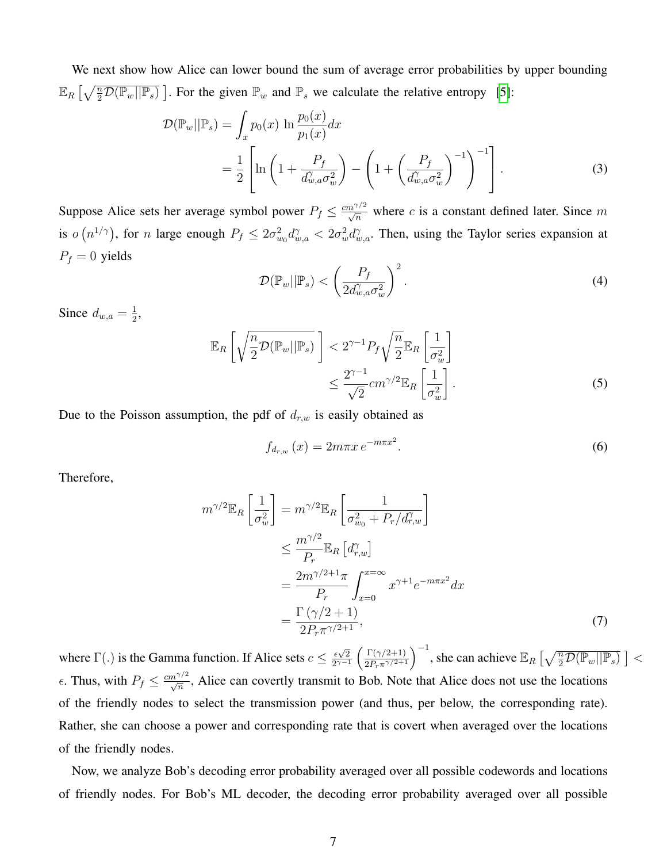We next show how Alice can lower bound the sum of average error probabilities by upper bounding  $\mathbb{E}_R\left[\sqrt{\frac{n}{2}\mathcal{D}(\mathbb{P}_w||\mathbb{P}_s)}\right]$ . For the given  $\mathbb{P}_w$  and  $\mathbb{P}_s$  we calculate the relative entropy [\[5\]](#page-15-4):

$$
\mathcal{D}(\mathbb{P}_w||\mathbb{P}_s) = \int_x p_0(x) \ln \frac{p_0(x)}{p_1(x)} dx
$$
  
= 
$$
\frac{1}{2} \left[ \ln \left( 1 + \frac{P_f}{d_{w,a}^{\gamma} \sigma_w^2} \right) - \left( 1 + \left( \frac{P_f}{d_{w,a}^{\gamma} \sigma_w^2} \right)^{-1} \right)^{-1} \right].
$$
 (3)

Suppose Alice sets her average symbol power  $P_f \leq \frac{cm^{\gamma/2}}{\sqrt{n}}$  where c is a constant defined later. Since m is  $o(n^{1/\gamma})$ , for n large enough  $P_f \le 2\sigma_{w_0}^2 d_{w,a}^\gamma < 2\sigma_w^2 d_{w,a}^\gamma$ . Then, using the Taylor series expansion at  $P_f = 0$  yields

<span id="page-6-0"></span>
$$
\mathcal{D}(\mathbb{P}_w||\mathbb{P}_s) < \left(\frac{P_f}{2d_{w,a}^{\gamma}\sigma_w^2}\right)^2.\tag{4}
$$

Since  $d_{w,a} = \frac{1}{2}$  $\frac{1}{2}$ ,

$$
\mathbb{E}_{R}\left[\sqrt{\frac{n}{2}\mathcal{D}(\mathbb{P}_{w}||\mathbb{P}_{s})}\right] < 2^{\gamma-1}P_{f}\sqrt{\frac{n}{2}}\mathbb{E}_{R}\left[\frac{1}{\sigma_{w}^{2}}\right] \\
&\leq \frac{2^{\gamma-1}}{\sqrt{2}}\,^{2\gamma-1} \mathbb{E}_{R}\left[\frac{1}{\sigma_{w}^{2}}\right].\n\tag{5}
$$

Due to the Poisson assumption, the pdf of  $d_{r,w}$  is easily obtained as

<span id="page-6-1"></span>
$$
f_{d_{r,w}}(x) = 2m\pi x \, e^{-m\pi x^2}.
$$
 (6)

Therefore,

$$
m^{\gamma/2} \mathbb{E}_R \left[ \frac{1}{\sigma_w^2} \right] = m^{\gamma/2} \mathbb{E}_R \left[ \frac{1}{\sigma_{w_0}^2 + P_r/d_{r,w}^{\gamma}} \right]
$$
  
\n
$$
\leq \frac{m^{\gamma/2}}{P_r} \mathbb{E}_R \left[ d_{r,w}^{\gamma} \right]
$$
  
\n
$$
= \frac{2m^{\gamma/2+1}\pi}{P_r} \int_{x=0}^{x=\infty} x^{\gamma+1} e^{-m\pi x^2} dx
$$
  
\n
$$
= \frac{\Gamma(\gamma/2+1)}{2P_r \pi^{\gamma/2+1}},
$$
 (7)

where  $\Gamma(.)$  is the Gamma function. If Alice sets  $c \leq \frac{\epsilon \sqrt{2}}{2\gamma - 1}$  $\frac{\epsilon \sqrt{2}}{2\gamma-1} \left( \frac{\Gamma(\gamma/2+1)}{2P_r \pi^{\gamma/2+1}} \right)^{-1}$ , she can achieve  $\mathbb{E}_R \left[ \sqrt{\frac{n}{2} \mathcal{D}(\mathbb{P}_w || \mathbb{P}_s)} \right]$  < *ε*. Thus, with  $P_f \le \frac{cm^{\gamma/2}}{\sqrt{n}}$ , Alice can covertly transmit to Bob. Note that Alice does not use the locations of the friendly nodes to select the transmission power (and thus, per below, the corresponding rate). Rather, she can choose a power and corresponding rate that is covert when averaged over the locations of the friendly nodes.

Now, we analyze Bob's decoding error probability averaged over all possible codewords and locations of friendly nodes. For Bob's ML decoder, the decoding error probability averaged over all possible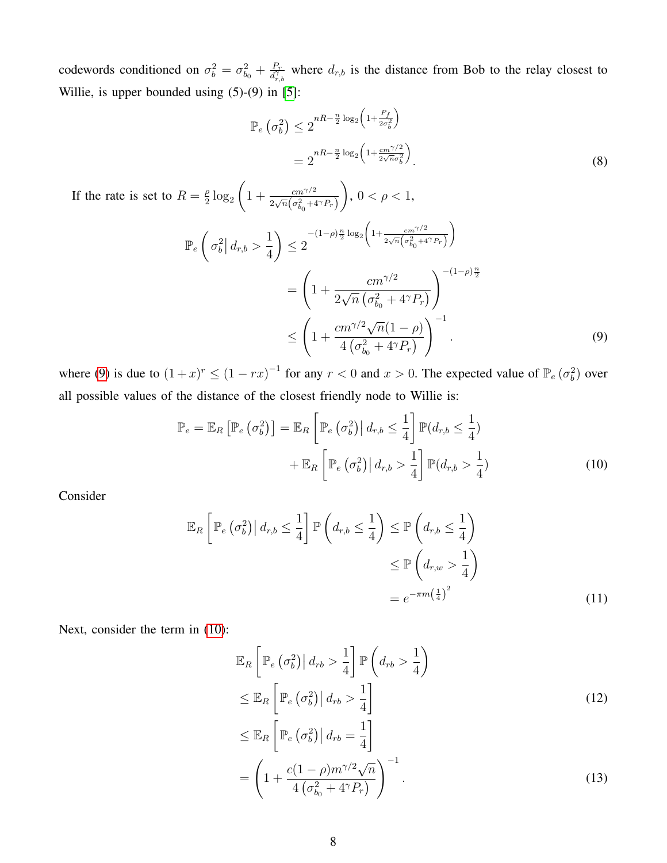codewords conditioned on  $\sigma_b^2 = \sigma_{b_0}^2 + \frac{P_r}{d_{b_0}}$  $\frac{P_r}{d_{r,b}^{\gamma}}$  where  $d_{r,b}$  is the distance from Bob to the relay closest to Willie, is upper bounded using (5)-(9) in [\[5\]](#page-15-4):

<span id="page-7-4"></span><span id="page-7-0"></span>
$$
\mathbb{P}_e\left(\sigma_b^2\right) \le 2^{nR - \frac{n}{2}\log_2\left(1 + \frac{P_f}{2\sigma_b^2}\right)} \\
= 2^{nR - \frac{n}{2}\log_2\left(1 + \frac{cm^{\gamma/2}}{2\sqrt{n}\sigma_b^2}\right)}.\n\tag{8}
$$

If the rate is set to  $R = \frac{\rho}{2}$  $\frac{\rho}{2} \log_2$  $\left(1+\frac{cm^{\gamma/2}}{2\sqrt{n}\left(\sigma^2_{b_0}+4^{\gamma}P_r\right)}\right)$  $\setminus$ ,  $0 < \rho < 1$ ,

$$
\mathbb{P}_{e}\left(\sigma_{b}^{2} | d_{r,b} > \frac{1}{4}\right) \leq 2^{-\left(1-\rho\right)\frac{n}{2}\log_{2}\left(1+\frac{cm^{\gamma/2}}{2\sqrt{n}\left(\sigma_{b_{0}}^{2}+4\gamma P_{r}\right)}\right)} = \left(1+\frac{cm^{\gamma/2}}{2\sqrt{n}\left(\sigma_{b_{0}}^{2}+4\gamma P_{r}\right)}\right)^{-\left(1-\rho\right)\frac{n}{2}}
$$

$$
\leq \left(1+\frac{cm^{\gamma/2}\sqrt{n}(1-\rho)}{4\left(\sigma_{b_{0}}^{2}+4\gamma P_{r}\right)}\right)^{-1}.
$$
\n(9)

where [\(9\)](#page-7-0) is due to  $(1+x)^r \le (1-rx)^{-1}$  for any  $r < 0$  and  $x > 0$ . The expected value of  $\mathbb{P}_e(\sigma_b^2)$  over all possible values of the distance of the closest friendly node to Willie is:

$$
\mathbb{P}_e = \mathbb{E}_R \left[ \mathbb{P}_e \left( \sigma_b^2 \right) \right] = \mathbb{E}_R \left[ \mathbb{P}_e \left( \sigma_b^2 \right) \middle| d_{r,b} \le \frac{1}{4} \right] \mathbb{P} (d_{r,b} \le \frac{1}{4}) \n+ \mathbb{E}_R \left[ \mathbb{P}_e \left( \sigma_b^2 \right) \middle| d_{r,b} > \frac{1}{4} \right] \mathbb{P} (d_{r,b} > \frac{1}{4})
$$
\n(10)

Consider

<span id="page-7-1"></span>
$$
\mathbb{E}_R \left[ \mathbb{P}_e \left( \sigma_b^2 \right) \middle| d_{r,b} \le \frac{1}{4} \right] \mathbb{P} \left( d_{r,b} \le \frac{1}{4} \right) \le \mathbb{P} \left( d_{r,b} \le \frac{1}{4} \right) \\
\le \mathbb{P} \left( d_{r,w} > \frac{1}{4} \right) \\
= e^{-\pi m \left( \frac{1}{4} \right)^2} \tag{11}
$$

Next, consider the term in [\(10\)](#page-7-1):

<span id="page-7-3"></span><span id="page-7-2"></span>
$$
\mathbb{E}_{R}\left[\mathbb{P}_{e}\left(\sigma_{b}^{2}\right)\middle|d_{rb} > \frac{1}{4}\right] \mathbb{P}\left(d_{rb} > \frac{1}{4}\right)
$$
\n
$$
\leq \mathbb{E}_{R}\left[\mathbb{P}_{e}\left(\sigma_{b}^{2}\right)\middle|d_{rb} > \frac{1}{4}\right]
$$
\n
$$
\leq \mathbb{E}_{R}\left[\mathbb{P}_{e}\left(\sigma_{b}^{2}\right)\middle|d_{rb} = \frac{1}{4}\right]
$$
\n
$$
=\left(1 + \frac{c(1-\rho)m^{\gamma/2}\sqrt{n}}{4\left(\sigma_{b_{0}}^{2} + 4^{\gamma}P_{r}\right)}\right)^{-1}.
$$
\n(13)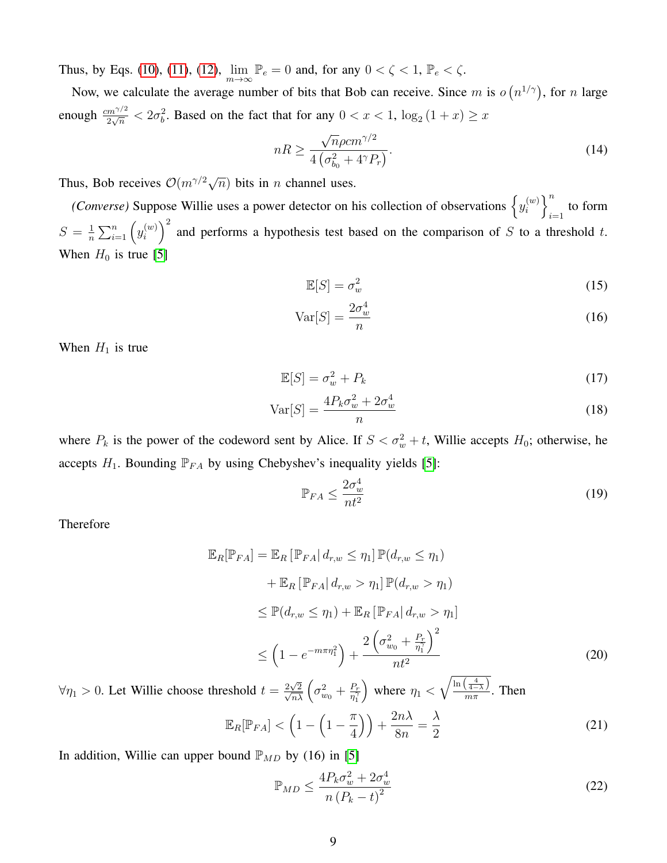Thus, by Eqs. [\(10\)](#page-7-1), [\(11\)](#page-7-2), [\(12\)](#page-7-3),  $\lim_{m\to\infty} \mathbb{P}_e = 0$  and, for any  $0 < \zeta < 1$ ,  $\mathbb{P}_e < \zeta$ .

Now, we calculate the average number of bits that Bob can receive. Since m is  $o(n^{1/\gamma})$ , for n large enough  $\frac{cm^{\gamma/2}}{2\sqrt{n}} < 2\sigma_b^2$ . Based on the fact that for any  $0 < x < 1$ ,  $\log_2(1+x) \ge x$ 

<span id="page-8-0"></span>
$$
nR \ge \frac{\sqrt{n}\rho cm^{\gamma/2}}{4\left(\sigma_{b_0}^2 + 4^{\gamma}P_r\right)}.\tag{14}
$$

Thus, Bob receives  $\mathcal{O}(m^{\gamma/2}\sqrt{n})$  bits in *n* channel uses.

*(Converse)* Suppose Willie uses a power detector on his collection of observations  $\left\{y_i^{(w)}\right\}$  $\binom{w}{i}$ to form  $S=\frac{1}{n}$  $\frac{1}{n}\sum_{i=1}^n \left(y_i^{(w)}\right)$  $\binom{w}{i}^2$  and performs a hypothesis test based on the comparison of S to a threshold t. When  $H_0$  is true [\[5\]](#page-15-4)

$$
\mathbb{E}[S] = \sigma_w^2 \tag{15}
$$

$$
\text{Var}[S] = \frac{2\sigma_w^4}{n} \tag{16}
$$

When  $H_1$  is true

$$
\mathbb{E}[S] = \sigma_w^2 + P_k \tag{17}
$$

$$
\text{Var}[S] = \frac{4P_k \sigma_w^2 + 2\sigma_w^4}{n} \tag{18}
$$

where  $P_k$  is the power of the codeword sent by Alice. If  $S < \sigma_w^2 + t$ , Willie accepts  $H_0$ ; otherwise, he accepts  $H_1$ . Bounding  $\mathbb{P}_{FA}$  by using Chebyshev's inequality yields [\[5\]](#page-15-4):

$$
\mathbb{P}_{FA} \le \frac{2\sigma_w^4}{nt^2} \tag{19}
$$

Therefore

$$
\mathbb{E}_{R}[\mathbb{P}_{FA}] = \mathbb{E}_{R} [\mathbb{P}_{FA} | d_{r,w} \leq \eta_{1}] \mathbb{P}(d_{r,w} \leq \eta_{1}) \n+ \mathbb{E}_{R} [\mathbb{P}_{FA} | d_{r,w} > \eta_{1}] \mathbb{P}(d_{r,w} > \eta_{1}) \n\leq \mathbb{P}(d_{r,w} \leq \eta_{1}) + \mathbb{E}_{R} [\mathbb{P}_{FA} | d_{r,w} > \eta_{1}] \n\leq \left(1 - e^{-m\pi\eta_{1}^{2}}\right) + \frac{2\left(\sigma_{w_{0}}^{2} + \frac{P_{r}}{\eta_{1}^{2}}\right)^{2}}{nt^{2}}
$$
\n(20)

 $\forall \eta_1 > 0$ . Let Willie choose threshold  $t = \frac{2\sqrt{n}}{\sqrt{n}}$  $\frac{2\sqrt{2}}{\sqrt{n\lambda}}\left(\sigma_{w_0}^2+\frac{P_r}{\eta_1^\gamma}\right)$  $\overline{\eta_1^{\gamma}}$ where  $\eta_1 < \sqrt{\frac{\ln \left(\frac{4}{4-\lambda}\right)}{m \pi}}$  $\frac{(4-\lambda)}{m\pi}$ . Then

$$
\mathbb{E}_R[\mathbb{P}_{FA}] < \left(1 - \left(1 - \frac{\pi}{4}\right)\right) + \frac{2n\lambda}{8n} = \frac{\lambda}{2} \tag{21}
$$

In addition, Willie can upper bound  $\mathbb{P}_{MD}$  by (16) in [\[5\]](#page-15-4)

$$
\mathbb{P}_{MD} \le \frac{4P_k\sigma_w^2 + 2\sigma_w^4}{n\left(P_k - t\right)^2} \tag{22}
$$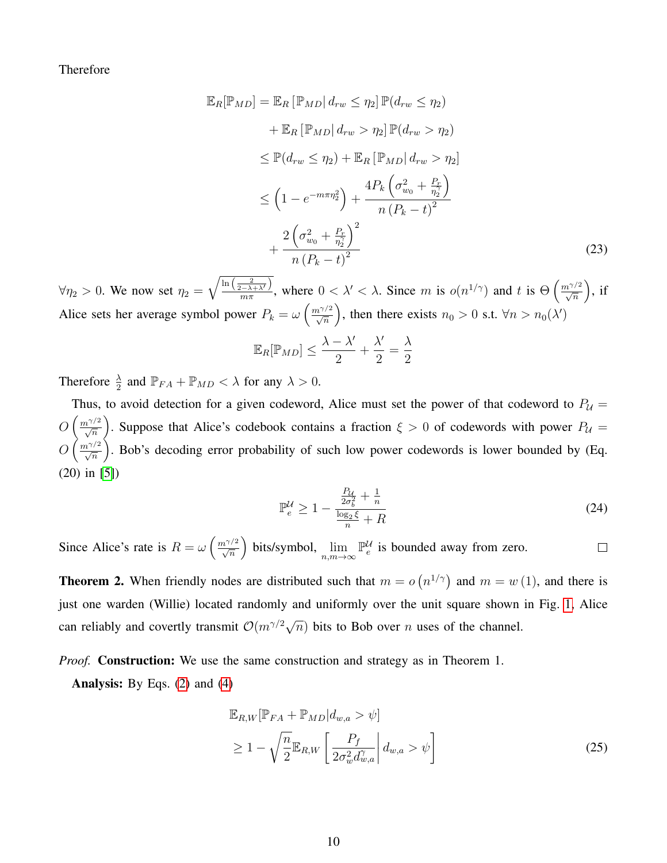Therefore

$$
\mathbb{E}_{R}[\mathbb{P}_{MD}] = \mathbb{E}_{R} [\mathbb{P}_{MD} | d_{rw} \leq \eta_{2}] \mathbb{P}(d_{rw} \leq \eta_{2}) \n+ \mathbb{E}_{R} [\mathbb{P}_{MD} | d_{rw} > \eta_{2}] \mathbb{P}(d_{rw} > \eta_{2}) \n\leq \mathbb{P}(d_{rw} \leq \eta_{2}) + \mathbb{E}_{R} [\mathbb{P}_{MD} | d_{rw} > \eta_{2}] \n\leq \left(1 - e^{-m\pi\eta_{2}^{2}}\right) + \frac{4P_{k} \left(\sigma_{w_{0}}^{2} + \frac{P_{r}}{\eta_{2}^{2}}\right)}{n \left(P_{k} - t\right)^{2}} \n+ \frac{2 \left(\sigma_{w_{0}}^{2} + \frac{P_{r}}{\eta_{2}^{2}}\right)^{2}}{n \left(P_{k} - t\right)^{2}}
$$
\n(23)

 $\forall \eta_2 > 0$ . We now set  $\eta_2 =$  $\sqrt{\ln\left(\frac{2}{2-\lambda+\lambda'}\right)}$  $\frac{12}{m\pi}$ , where  $0 < \lambda' < \lambda$ . Since m is  $o(n^{1/\gamma})$  and t is  $\Theta\left(\frac{m^{\gamma/2}}{\sqrt{n}}\right)$ , if Alice sets her average symbol power  $P_k = \omega \left( \frac{m^{\gamma/2}}{\sqrt{n}} \right)$ , then there exists  $n_0 > 0$  s.t.  $\forall n > n_0(\lambda')$ 

$$
\mathbb{E}_R[\mathbb{P}_{MD}] \le \frac{\lambda - \lambda'}{2} + \frac{\lambda'}{2} = \frac{\lambda}{2}
$$

Therefore  $\frac{\lambda}{2}$  and  $\mathbb{P}_{FA} + \mathbb{P}_{MD} < \lambda$  for any  $\lambda > 0$ .

Thus, to avoid detection for a given codeword, Alice must set the power of that codeword to  $P_U$  =  $O\left(\frac{m^{\gamma/2}}{\sqrt{n}}\right)$ . Suppose that Alice's codebook contains a fraction  $\xi > 0$  of codewords with power  $P_{\mathcal{U}} =$  $O\left(\frac{m^{\gamma/2}}{\sqrt{n}}\right)$ . Bob's decoding error probability of such low power codewords is lower bounded by (Eq. (20) in [\[5\]](#page-15-4))

$$
\mathbb{P}_e^{\mathcal{U}} \ge 1 - \frac{\frac{P_{\mathcal{U}}}{2\sigma_b^2} + \frac{1}{n}}{\frac{\log_2 \xi}{n} + R} \tag{24}
$$

Since Alice's rate is  $R = \omega \left( \frac{m^{\gamma/2}}{\sqrt{n}} \right)$  bits/symbol,  $\lim_{n,m \to \infty}$  $\mathbb{P}_{e}^{\mathcal{U}}$  is bounded away from zero.  $\Box$ 

**Theorem 2.** When friendly nodes are distributed such that  $m = o(n^{1/\gamma})$  and  $m = w(1)$ , and there is just one warden (Willie) located randomly and uniformly over the unit square shown in Fig. [1,](#page-3-0) Alice can reliably and covertly transmit  $\mathcal{O}(m^{\gamma/2}\sqrt{n})$  bits to Bob over *n* uses of the channel.

*Proof.* Construction: We use the same construction and strategy as in Theorem 1.

Analysis: By Eqs. [\(2\)](#page-5-0) and [\(4\)](#page-6-0)

$$
\mathbb{E}_{R,W}[\mathbb{P}_{FA} + \mathbb{P}_{MD}|d_{w,a} > \psi]
$$
\n
$$
\geq 1 - \sqrt{\frac{n}{2}} \mathbb{E}_{R,W} \left[ \frac{P_f}{2\sigma_w^2 d_{w,a}^{\gamma}} \middle| d_{w,a} > \psi \right]
$$
\n(25)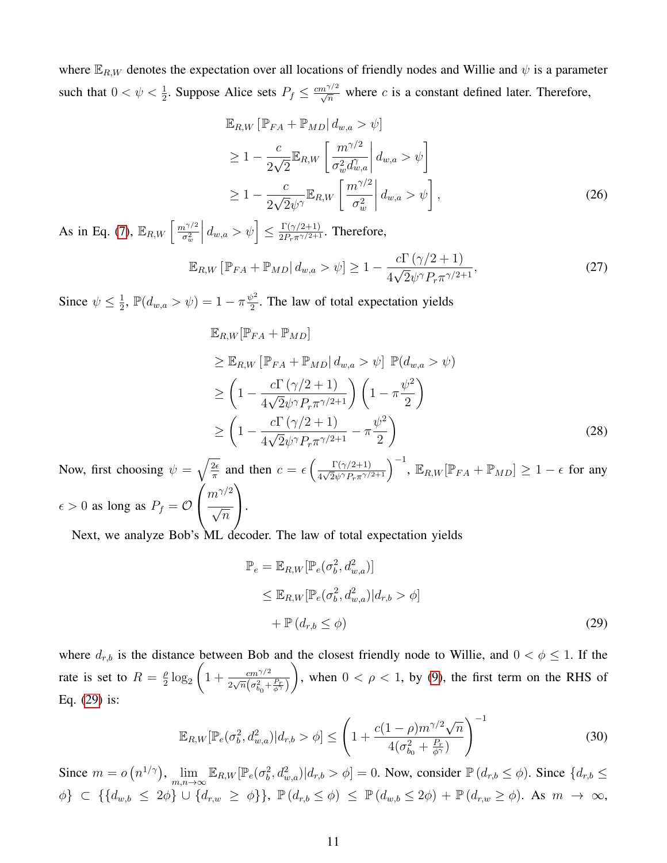where  $\mathbb{E}_{R,W}$  denotes the expectation over all locations of friendly nodes and Willie and  $\psi$  is a parameter such that  $0 < \psi < \frac{1}{2}$ . Suppose Alice sets  $P_f \leq \frac{cm^{\gamma/2}}{\sqrt{n}}$  where c is a constant defined later. Therefore,

$$
\mathbb{E}_{R,W} \left[ \mathbb{P}_{FA} + \mathbb{P}_{MD} | d_{w,a} > \psi \right]
$$
\n
$$
\geq 1 - \frac{c}{2\sqrt{2}} \mathbb{E}_{R,W} \left[ \frac{m^{\gamma/2}}{\sigma_w^2 d_{w,a}^{\gamma}} \middle| d_{w,a} > \psi \right]
$$
\n
$$
\geq 1 - \frac{c}{2\sqrt{2}\psi^{\gamma}} \mathbb{E}_{R,W} \left[ \frac{m^{\gamma/2}}{\sigma_w^2} \middle| d_{w,a} > \psi \right],
$$
\n(26)

As in Eq. [\(7\)](#page-6-1),  $\mathbb{E}_{R,W}$   $\left[ \frac{m^{\gamma/2}}{\sigma^2} \right]$  $\overline{\sigma_w^2}$   $d_{w,a}$  >  $\psi$   $\left] \leq \frac{\Gamma(\gamma/2+1)}{2P_r \pi^{\gamma/2+1}}$ . Therefore,

$$
\mathbb{E}_{R,W} \left[ \mathbb{P}_{FA} + \mathbb{P}_{MD} \right] d_{w,a} > \psi \right] \ge 1 - \frac{c \Gamma \left( \gamma/2 + 1 \right)}{4\sqrt{2} \psi^{\gamma} P_r \pi^{\gamma/2 + 1}},\tag{27}
$$

Since  $\psi \leq \frac{1}{2}$  $\frac{1}{2}$ ,  $\mathbb{P}(d_{w,a} > \psi) = 1 - \pi \frac{\psi^2}{2}$  $\frac{b^2}{2}$ . The law of total expectation yields

$$
\mathbb{E}_{R,W}[\mathbb{P}_{FA} + \mathbb{P}_{MD}]
$$
\n
$$
\geq \mathbb{E}_{R,W}[\mathbb{P}_{FA} + \mathbb{P}_{MD}|d_{w,a} > \psi] \mathbb{P}(d_{w,a} > \psi)
$$
\n
$$
\geq \left(1 - \frac{c\Gamma(\gamma/2 + 1)}{4\sqrt{2}\psi^{\gamma}P_r\pi^{\gamma/2+1}}\right)\left(1 - \pi\frac{\psi^2}{2}\right)
$$
\n
$$
\geq \left(1 - \frac{c\Gamma(\gamma/2 + 1)}{4\sqrt{2}\psi^{\gamma}P_r\pi^{\gamma/2+1}} - \pi\frac{\psi^2}{2}\right)
$$
\n(28)

Now, first choosing  $\psi = \sqrt{\frac{2\epsilon}{\pi}}$  $\frac{\overline{2\epsilon}}{\pi}$  and then  $c = \epsilon \left( \frac{\Gamma(\gamma/2+1)}{4\sqrt{2}\psi^{\gamma}P_{r}\pi^{\gamma}} \right)$  $\frac{\Gamma(\gamma/2+1)}{4\sqrt{2}\psi^\gamma P_r\pi^{\gamma/2+1}}\Big)^{-1},\ \mathbb{E}_{R,W}[\mathbb{P}_{FA}+\mathbb{P}_{MD}]\geq 1-\epsilon\,\,\text{for any}\,\,$  $\epsilon > 0$  as long as  $P_f = \mathcal{O}$  $\sqrt{ }$  $\overline{1}$  $m^{\gamma/2}$ √  $\overline{n}$  $\setminus$  $\cdot$ 

Next, we analyze Bob's ML decoder. The law of total expectation yields

<span id="page-10-0"></span>
$$
\mathbb{P}_e = \mathbb{E}_{R,W}[\mathbb{P}_e(\sigma_b^2, d_{w,a}^2)]
$$
  
\n
$$
\leq \mathbb{E}_{R,W}[\mathbb{P}_e(\sigma_b^2, d_{w,a}^2)|d_{r,b} > \phi]
$$
  
\n
$$
+ \mathbb{P}(d_{r,b} \leq \phi)
$$
\n(29)

where  $d_{r,b}$  is the distance between Bob and the closest friendly node to Willie, and  $0 < \phi \leq 1$ . If the rate is set to  $R = \frac{\rho}{2}$  $\frac{\rho}{2} \log_2$  $\left(1+\frac{cm^{\gamma/2}}{2\sqrt{n}\left(\sigma^2_{b_0}+\frac{P_r}{\phi^\gamma}\right)}\right)$  $\setminus$ , when  $0 < \rho < 1$ , by [\(9\)](#page-7-0), the first term on the RHS of Eq. [\(29\)](#page-10-0) is:

$$
\mathbb{E}_{R,W}[\mathbb{P}_e(\sigma_b^2, d_{w,a}^2)|d_{r,b} > \phi] \le \left(1 + \frac{c(1-\rho)m^{\gamma/2}\sqrt{n}}{4(\sigma_{b_0}^2 + \frac{P_r}{\phi^{\gamma}})}\right)^{-1}
$$
(30)

Since  $m = o(n^{1/\gamma})$ ,  $\lim_{m,n \to \infty} \mathbb{E}_{R,W}[\mathbb{P}_e(\sigma_b^2, d_{w,a}^2)|d_{r,b} > \phi] = 0$ . Now, consider  $\mathbb{P}(d_{r,b} \leq \phi)$ . Since  $\{d_{r,b} \leq \phi\}$  $\{\phi\} \subset \{\{d_{w,b} \leq 2\phi\} \cup \{d_{r,w} \geq \phi\}\}\,$ ,  $\mathbb{P}(d_{r,b} \leq \phi) \leq \mathbb{P}(d_{w,b} \leq 2\phi) + \mathbb{P}(d_{r,w} \geq \phi)$ . As  $m \to \infty$ ,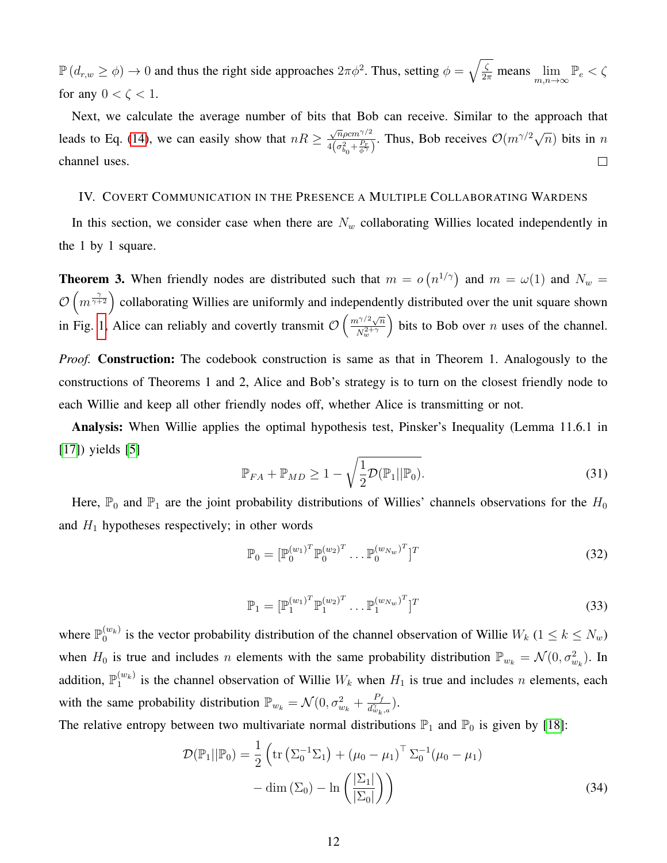$\mathbb{P}(d_{r,w} \ge \phi) \to 0$  and thus the right side approaches  $2\pi\phi^2$ . Thus, setting  $\phi = \sqrt{\frac{\zeta}{2\pi}}$  means  $\lim_{m,n \to \infty} \mathbb{P}_e < \zeta$ for any  $0 < \zeta < 1$ .

Next, we calculate the average number of bits that Bob can receive. Similar to the approach that  $\frac{\sqrt{n}\rho cm^{\gamma/2}}{4(\sigma_{b_0}^2 + \frac{P_r}{\phi\gamma})}$ . Thus, Bob receives  $\mathcal{O}(m^{\gamma/2}\sqrt{n})$  bits in n  $\sqrt{n}\rho cm^{\gamma/2}$ leads to Eq. [\(14\)](#page-8-0), we can easily show that  $nR \geq$ channel uses.  $\Box$ 

# <span id="page-11-0"></span>IV. COVERT COMMUNICATION IN THE PRESENCE A MULTIPLE COLLABORATING WARDENS

In this section, we consider case when there are  $N_w$  collaborating Willies located independently in the 1 by 1 square.

**Theorem 3.** When friendly nodes are distributed such that  $m = o(n^{1/\gamma})$  and  $m = \omega(1)$  and  $N_w =$  $\mathcal{O}\left(m^{\frac{\gamma}{\gamma+2}}\right)$  collaborating Willies are uniformly and independently distributed over the unit square shown in Fig. [1,](#page-3-0) Alice can reliably and covertly transmit  $\mathcal{O}\left(\frac{m^{\gamma/2}\sqrt{n}}{N^{2+\gamma}}\right)$  $N_w^{2+\gamma}$ ) bits to Bob over *n* uses of the channel.

*Proof.* Construction: The codebook construction is same as that in Theorem 1. Analogously to the constructions of Theorems 1 and 2, Alice and Bob's strategy is to turn on the closest friendly node to each Willie and keep all other friendly nodes off, whether Alice is transmitting or not.

Analysis: When Willie applies the optimal hypothesis test, Pinsker's Inequality (Lemma 11.6.1 in [\[17\]](#page-16-1)) yields [\[5\]](#page-15-4)

<span id="page-11-2"></span>
$$
\mathbb{P}_{FA} + \mathbb{P}_{MD} \ge 1 - \sqrt{\frac{1}{2} \mathcal{D}(\mathbb{P}_1 || \mathbb{P}_0)}.
$$
\n(31)

Here,  $\mathbb{P}_0$  and  $\mathbb{P}_1$  are the joint probability distributions of Willies' channels observations for the  $H_0$ and  $H_1$  hypotheses respectively; in other words

$$
\mathbb{P}_0 = [\mathbb{P}_0^{(w_1)^T} \mathbb{P}_0^{(w_2)^T} \dots \mathbb{P}_0^{(w_{N_w})^T}]^T
$$
\n(32)

<span id="page-11-1"></span>
$$
\mathbb{P}_1 = [\mathbb{P}_1^{(w_1)^T} \mathbb{P}_1^{(w_2)^T} \dots \mathbb{P}_1^{(w_{N_w})^T}]^T
$$
\n(33)

where  $\mathbb{P}_0^{(w_k)}$  $\binom{w_k}{0}$  is the vector probability distribution of the channel observation of Willie  $W_k$  ( $1 \le k \le N_w$ ) when  $H_0$  is true and includes n elements with the same probability distribution  $\mathbb{P}_{w_k} = \mathcal{N}(0, \sigma_{w_k}^2)$ . In addition,  $\mathbb{P}_1^{(w_k)}$  $\binom{w_k}{1}$  is the channel observation of Willie  $W_k$  when  $H_1$  is true and includes n elements, each with the same probability distribution  $\mathbb{P}_{w_k} = \mathcal{N}(0, \sigma_{w_k}^2 + \frac{P_f}{d_{w_k}})$  $\frac{F_f}{d_{w_k,a}^{\gamma}}\big).$ 

The relative entropy between two multivariate normal distributions  $\mathbb{P}_1$  and  $\mathbb{P}_0$  is given by [\[18\]](#page-16-2):

$$
\mathcal{D}(\mathbb{P}_1||\mathbb{P}_0) = \frac{1}{2} \left( \text{tr} \left( \Sigma_0^{-1} \Sigma_1 \right) + \left( \mu_0 - \mu_1 \right)^\top \Sigma_0^{-1} \left( \mu_0 - \mu_1 \right) - \text{dim} \left( \Sigma_0 \right) - \ln \left( \frac{|\Sigma_1|}{|\Sigma_0|} \right) \right) \tag{34}
$$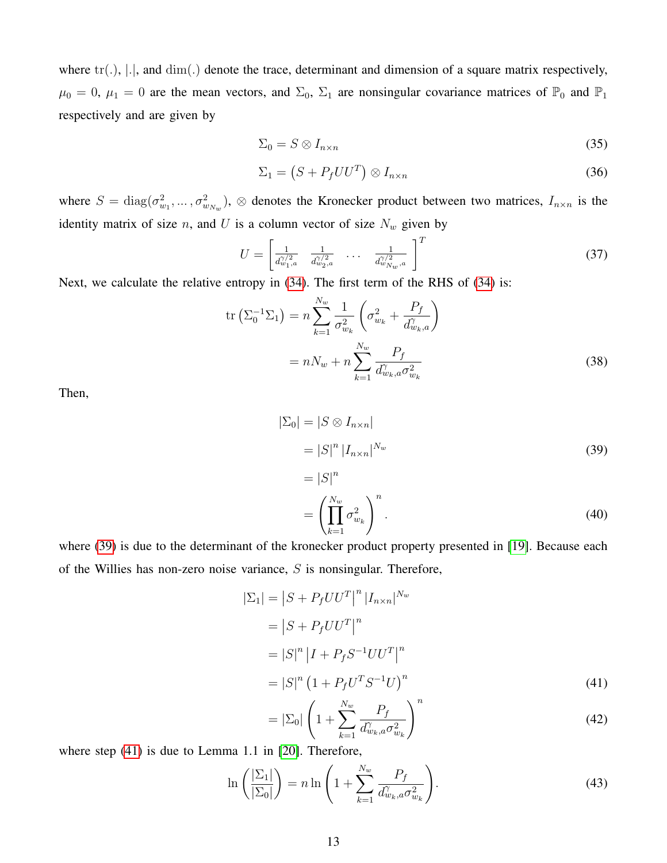where  $tr(.)$ ,  $|.|$ , and  $dim(.)$  denote the trace, determinant and dimension of a square matrix respectively,  $\mu_0 = 0$ ,  $\mu_1 = 0$  are the mean vectors, and  $\Sigma_0$ ,  $\Sigma_1$  are nonsingular covariance matrices of  $\mathbb{P}_0$  and  $\mathbb{P}_1$ respectively and are given by

$$
\Sigma_0 = S \otimes I_{n \times n} \tag{35}
$$

$$
\Sigma_1 = (S + P_f U U^T) \otimes I_{n \times n} \tag{36}
$$

where  $S = diag(\sigma_{w_1}^2, ..., \sigma_{w_{N_w}}^2)$ ,  $\otimes$  denotes the Kronecker product between two matrices,  $I_{n \times n}$  is the identity matrix of size n, and U is a column vector of size  $N_w$  given by

$$
U = \begin{bmatrix} \frac{1}{d_{w_1,a}^{\gamma/2}} & \frac{1}{d_{w_2,a}^{\gamma/2}} & \dots & \frac{1}{d_{w_{N_w},a}^{\gamma/2}} \end{bmatrix}^T
$$
 (37)

Next, we calculate the relative entropy in  $(34)$ . The first term of the RHS of  $(34)$  is:

$$
\text{tr}\left(\Sigma_0^{-1}\Sigma_1\right) = n \sum_{k=1}^{N_w} \frac{1}{\sigma_{w_k}^2} \left(\sigma_{w_k}^2 + \frac{P_f}{d_{w_k, a}^{\gamma}}\right)
$$
\n
$$
= n N_w + n \sum_{k=1}^{N_w} \frac{P_f}{d_{w_k, a}^{\gamma} \sigma_{w_k}^2} \tag{38}
$$

Then,

<span id="page-12-0"></span>
$$
|\Sigma_0| = |S \otimes I_{n \times n}|
$$
  
\n
$$
= |S|^n |I_{n \times n}|^{N_w}
$$
  
\n
$$
= |S|^n
$$
  
\n
$$
= \left(\prod_{k=1}^{N_w} \sigma_{w_k}^2\right)^n.
$$
  
\n(40)  
\n18 **Supper product property presented in [10]. Because each**

where [\(39\)](#page-12-0) is due to the determinant of the kronecker product property presented in [\[19\]](#page-16-3). Because each of the Willies has non-zero noise variance, S is nonsingular. Therefore,

$$
|\Sigma_{1}| = |S + P_{f}UU^{T}|^{n} |I_{n \times n}|^{N_{w}}
$$
  
\n
$$
= |S + P_{f}UU^{T}|^{n}
$$
  
\n
$$
= |S|^{n} |I + P_{f}S^{-1}UU^{T}|^{n}
$$
  
\n
$$
= |S|^{n} (1 + P_{f}U^{T}S^{-1}U)^{n}
$$
\n(41)

<span id="page-12-1"></span>
$$
= |\Sigma_0| \left( 1 + \sum_{k=1}^{N_w} \frac{P_f}{d_{w_k, a}^{\gamma} \sigma_{w_k}^2} \right)^n \tag{42}
$$

where step [\(41\)](#page-12-1) is due to Lemma 1.1 in [\[20\]](#page-16-4). Therefore,

$$
\ln\left(\frac{|\Sigma_1|}{|\Sigma_0|}\right) = n \ln\left(1 + \sum_{k=1}^{N_w} \frac{P_f}{d_{w_k, a}^{\gamma} \sigma_{w_k}^2}\right).
$$
\n(43)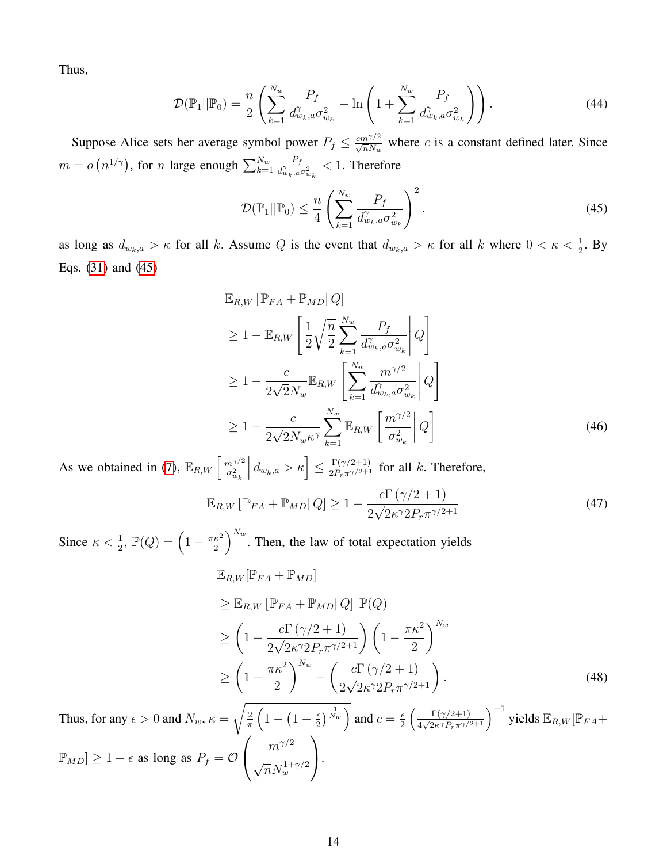Thus,

$$
\mathcal{D}(\mathbb{P}_1||\mathbb{P}_0) = \frac{n}{2} \left( \sum_{k=1}^{N_w} \frac{P_f}{d_{w_k, a}^{\gamma} \sigma_{w_k}^2} - \ln\left(1 + \sum_{k=1}^{N_w} \frac{P_f}{d_{w_k, a}^{\gamma} \sigma_{w_k}^2}\right) \right). \tag{44}
$$

Suppose Alice sets her average symbol power  $P_f \leq \frac{cm^{\gamma/2}}{\sqrt{n}N_w}$  where c is a constant defined later. Since  $m = o(n^{1/\gamma})$ , for *n* large enough  $\sum_{k=1}^{N_w}$  $P_f$  $\frac{P_f}{d_{w_k,a}^{\gamma}\sigma_{w_k}^2} < 1$ . Therefore

<span id="page-13-0"></span>
$$
\mathcal{D}(\mathbb{P}_1||\mathbb{P}_0) \leq \frac{n}{4} \left( \sum_{k=1}^{N_w} \frac{P_f}{d_{w_k, a}^{\gamma} \sigma_{w_k}^2} \right)^2.
$$
\n(45)

as long as  $d_{w_k,a} > \kappa$  for all k. Assume Q is the event that  $d_{w_k,a} > \kappa$  for all k where  $0 < \kappa < \frac{1}{2}$ . By Eqs. [\(31\)](#page-11-2) and [\(45\)](#page-13-0)

$$
\mathbb{E}_{R,W} \left[ \mathbb{P}_{FA} + \mathbb{P}_{MD} | Q \right]
$$
\n
$$
\geq 1 - \mathbb{E}_{R,W} \left[ \frac{1}{2} \sqrt{\frac{n}{2}} \sum_{k=1}^{N_w} \frac{P_f}{d_{w_k, a}^{\gamma} \sigma_{w_k}^2} \middle| Q \right]
$$
\n
$$
\geq 1 - \frac{c}{2\sqrt{2}N_w} \mathbb{E}_{R,W} \left[ \sum_{k=1}^{N_w} \frac{m^{\gamma/2}}{d_{w_k, a}^{\gamma} \sigma_{w_k}^2} \middle| Q \right]
$$
\n
$$
\geq 1 - \frac{c}{2\sqrt{2}N_w \kappa^{\gamma}} \sum_{k=1}^{N_w} \mathbb{E}_{R,W} \left[ \frac{m^{\gamma/2}}{\sigma_{w_k}^2} \middle| Q \right]
$$
\n(46)

As we obtained in [\(7\)](#page-6-1),  $\mathbb{E}_{R,W} \left[ \frac{m^{\gamma/2}}{\sigma^2} \right]$  $\sigma^2_{w_k}$  $\left[d_{w_k,a} > \kappa\right] \leq \frac{\Gamma(\gamma/2+1)}{2P_r \pi^{\gamma/2+1}}$  for all k. Therefore,

$$
\mathbb{E}_{R,W} \left[ \mathbb{P}_{FA} + \mathbb{P}_{MD} | Q \right] \ge 1 - \frac{c \Gamma \left( \gamma / 2 + 1 \right)}{2 \sqrt{2} \kappa^{\gamma} 2 P_r \pi^{\gamma / 2 + 1}} \tag{47}
$$

Since  $\kappa < \frac{1}{2}$ ,  $\mathbb{P}(Q) = \left(1 - \frac{\pi \kappa^2}{2}\right)$  $\left(\frac{\kappa^2}{2}\right)^{N_w}$ . Then, the law of total expectation yields

$$
\mathbb{E}_{R,W}[\mathbb{P}_{FA} + \mathbb{P}_{MD}]
$$
\n
$$
\geq \mathbb{E}_{R,W}[\mathbb{P}_{FA} + \mathbb{P}_{MD}|Q] \mathbb{P}(Q)
$$
\n
$$
\geq \left(1 - \frac{c\Gamma(\gamma/2 + 1)}{2\sqrt{2}\kappa^{\gamma}2P_r\pi^{\gamma/2+1}}\right)\left(1 - \frac{\pi\kappa^2}{2}\right)^{N_w}
$$
\n
$$
\geq \left(1 - \frac{\pi\kappa^2}{2}\right)^{N_w} - \left(\frac{c\Gamma(\gamma/2 + 1)}{2\sqrt{2}\kappa^{\gamma}2P_r\pi^{\gamma/2+1}}\right).
$$
\n(48)

Thus, for any  $\epsilon > 0$  and  $N_w$ ,  $\kappa =$  $\sqrt{2}$  $\frac{2}{\pi}\left(1 - \left(1 - \frac{\epsilon}{2}\right) \right)$  $\left(\frac{\epsilon}{2}\right)^{\frac{1}{N_w}}$  and  $c = \frac{\epsilon}{2}$  $\frac{\epsilon}{2} \left( \frac{\Gamma(\gamma/2+1)}{4\sqrt{2}\kappa^{\gamma}P_r \pi^{\gamma/2}} \right)$  $\frac{\Gamma(\gamma/2+1)}{4\sqrt{2}\kappa^{\gamma}P_r\pi^{\gamma/2+1}}\Big)^{-1}$  yields  $\mathbb{E}_{R,W}[\mathbb{P}_{FA} +$  $\mathbb{P}_{MD} \ge 1 - \epsilon$  as long as  $P_f = \mathcal{O}$  $\sqrt{ }$  $\overline{1}$  $m^{\gamma/2}$  $\sqrt{n}N_w^{1+\gamma/2}$  $\setminus$  $\cdot$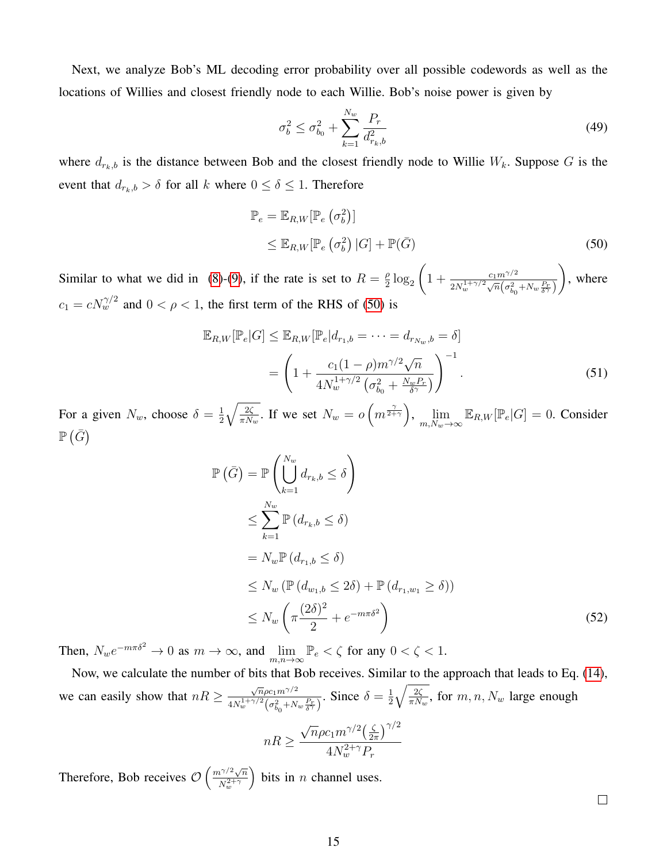Next, we analyze Bob's ML decoding error probability over all possible codewords as well as the locations of Willies and closest friendly node to each Willie. Bob's noise power is given by

<span id="page-14-0"></span>
$$
\sigma_b^2 \le \sigma_{b_0}^2 + \sum_{k=1}^{N_w} \frac{P_r}{d_{r_k, b}^2} \tag{49}
$$

where  $d_{r_k,b}$  is the distance between Bob and the closest friendly node to Willie  $W_k$ . Suppose G is the event that  $d_{r_k,b} > \delta$  for all k where  $0 \le \delta \le 1$ . Therefore

$$
\mathbb{P}_e = \mathbb{E}_{R,W}[\mathbb{P}_e(\sigma_b^2)]
$$
  
\n
$$
\leq \mathbb{E}_{R,W}[\mathbb{P}_e(\sigma_b^2) | G] + \mathbb{P}(\bar{G})
$$
\n(50)

Similar to what we did in [\(8\)](#page-7-4)-[\(9\)](#page-7-0), if the rate is set to  $R = \frac{\rho}{2}$  $\frac{\rho}{2} \log_2$  $\left(1+\frac{c_1 m^{\gamma/2}}{2N_w^{1+\gamma/2}\sqrt{n}\left(\sigma^2_{b_0}+N_w\frac{P_T}{\delta^{\gamma}}\right)}\right.$  $\setminus$ , where  $c_1 = cN_w^{\gamma/2}$  and  $0 < \rho < 1$ , the first term of the RHS of [\(50\)](#page-14-0) is

$$
\mathbb{E}_{R,W}[\mathbb{P}_e|G] \le \mathbb{E}_{R,W}[\mathbb{P}_e|d_{r_1,b} = \dots = d_{r_{N_w},b} = \delta]
$$
  
= 
$$
\left(1 + \frac{c_1(1-\rho)m^{\gamma/2}\sqrt{n}}{4N_w^{1+\gamma/2}\left(\sigma_{b_0}^2 + \frac{N_w P_r}{\delta^{\gamma}}\right)}\right)^{-1}.
$$
 (51)

For a given  $N_w$ , choose  $\delta = \frac{1}{2}$ 2  $\sqrt{2\zeta}$  $\frac{2\zeta}{\pi N_w}$ . If we set  $N_w = o\left(m^{\frac{\gamma}{2+\gamma}}\right)$ ,  $\lim_{m,N_w \to \infty} \mathbb{E}_{R,W}[\mathbb{P}_e|G] = 0$ . Consider  $\mathbb{P}\left(\bar{G}\right)$ 

$$
\mathbb{P}(\bar{G}) = \mathbb{P}\left(\bigcup_{k=1}^{N_w} d_{r_k, b} \le \delta\right)
$$
  
\n
$$
\le \sum_{k=1}^{N_w} \mathbb{P}(d_{r_k, b} \le \delta)
$$
  
\n
$$
= N_w \mathbb{P}(d_{r_1, b} \le \delta)
$$
  
\n
$$
\le N_w \left(\mathbb{P}(d_{w_1, b} \le 2\delta) + \mathbb{P}(d_{r_1, w_1} \ge \delta)\right)
$$
  
\n
$$
\le N_w \left(\pi \frac{(2\delta)^2}{2} + e^{-m\pi\delta^2}\right)
$$
 (52)

Then,  $N_w e^{-m\pi \delta^2} \to 0$  as  $m \to \infty$ , and  $\lim_{m,n \to \infty} \mathbb{P}_e < \zeta$  for any  $0 < \zeta < 1$ .

Now, we calculate the number of bits that Bob receives. Similar to the approach that leads to Eq. [\(14\)](#page-8-0), we can easily show that  $nR \geq$  $\sqrt{n} \rho c_1 m^{\gamma/2}$  $\frac{\sqrt{n\rho c_1 m^{\gamma/2}}}{4N_w^{1+\gamma/2} \left(\sigma_{b_0}^2 + N_w \frac{P_r}{\delta \gamma}\right)}$ . Since  $\delta = \frac{1}{2}$ 2  $\sqrt{2\zeta}$  $\frac{2\zeta}{\pi N_w}$ , for  $m, n, N_w$  large enough √

$$
nR \ge \frac{\sqrt{n}\rho c_1 m^{\gamma/2} \left(\frac{\zeta}{2\pi}\right)^{\gamma/2}}{4N_w^{2+\gamma} P_r}
$$

Therefore, Bob receives  $\mathcal{O}\left(\frac{m^{\gamma/2}\sqrt{n}}{N^{2+\gamma}}\right)$  $N_w^{2+\gamma}$ ) bits in *n* channel uses.

 $\Box$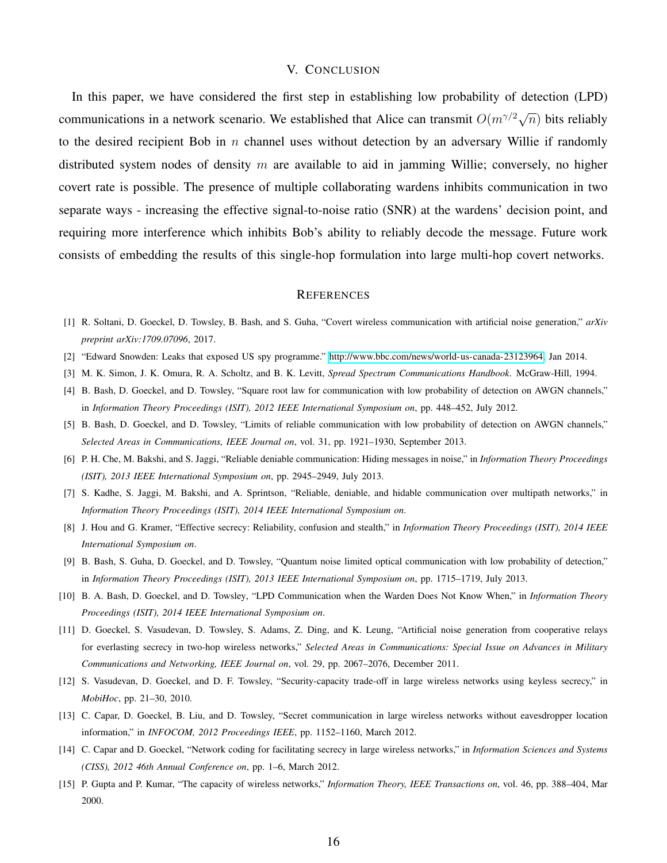#### V. CONCLUSION

In this paper, we have considered the first step in establishing low probability of detection (LPD) communications in a network scenario. We established that Alice can transmit  $O(m^{\gamma/2}\sqrt{n})$  bits reliably to the desired recipient Bob in  $n$  channel uses without detection by an adversary Willie if randomly distributed system nodes of density m are available to aid in jamming Willie; conversely, no higher covert rate is possible. The presence of multiple collaborating wardens inhibits communication in two separate ways - increasing the effective signal-to-noise ratio (SNR) at the wardens' decision point, and requiring more interference which inhibits Bob's ability to reliably decode the message. Future work consists of embedding the results of this single-hop formulation into large multi-hop covert networks.

# **REFERENCES**

- <span id="page-15-0"></span>[1] R. Soltani, D. Goeckel, D. Towsley, B. Bash, and S. Guha, "Covert wireless communication with artificial noise generation," *arXiv preprint arXiv:1709.07096*, 2017.
- <span id="page-15-1"></span>[2] "Edward Snowden: Leaks that exposed US spy programme." [http://www.bbc.com/news/world-us-canada-23123964,](http://www.bbc.com/news/world-us-canada-23123964) Jan 2014.
- <span id="page-15-2"></span>[3] M. K. Simon, J. K. Omura, R. A. Scholtz, and B. K. Levitt, *Spread Spectrum Communications Handbook*. McGraw-Hill, 1994.
- <span id="page-15-3"></span>[4] B. Bash, D. Goeckel, and D. Towsley, "Square root law for communication with low probability of detection on AWGN channels," in *Information Theory Proceedings (ISIT), 2012 IEEE International Symposium on*, pp. 448–452, July 2012.
- <span id="page-15-4"></span>[5] B. Bash, D. Goeckel, and D. Towsley, "Limits of reliable communication with low probability of detection on AWGN channels," *Selected Areas in Communications, IEEE Journal on*, vol. 31, pp. 1921–1930, September 2013.
- <span id="page-15-5"></span>[6] P. H. Che, M. Bakshi, and S. Jaggi, "Reliable deniable communication: Hiding messages in noise," in *Information Theory Proceedings (ISIT), 2013 IEEE International Symposium on*, pp. 2945–2949, July 2013.
- [7] S. Kadhe, S. Jaggi, M. Bakshi, and A. Sprintson, "Reliable, deniable, and hidable communication over multipath networks," in *Information Theory Proceedings (ISIT), 2014 IEEE International Symposium on*.
- <span id="page-15-6"></span>[8] J. Hou and G. Kramer, "Effective secrecy: Reliability, confusion and stealth," in *Information Theory Proceedings (ISIT), 2014 IEEE International Symposium on*.
- <span id="page-15-7"></span>[9] B. Bash, S. Guha, D. Goeckel, and D. Towsley, "Quantum noise limited optical communication with low probability of detection," in *Information Theory Proceedings (ISIT), 2013 IEEE International Symposium on*, pp. 1715–1719, July 2013.
- <span id="page-15-8"></span>[10] B. A. Bash, D. Goeckel, and D. Towsley, "LPD Communication when the Warden Does Not Know When," in *Information Theory Proceedings (ISIT), 2014 IEEE International Symposium on*.
- <span id="page-15-9"></span>[11] D. Goeckel, S. Vasudevan, D. Towsley, S. Adams, Z. Ding, and K. Leung, "Artificial noise generation from cooperative relays for everlasting secrecy in two-hop wireless networks," *Selected Areas in Communications: Special Issue on Advances in Military Communications and Networking, IEEE Journal on*, vol. 29, pp. 2067–2076, December 2011.
- [12] S. Vasudevan, D. Goeckel, and D. F. Towsley, "Security-capacity trade-off in large wireless networks using keyless secrecy," in *MobiHoc*, pp. 21–30, 2010.
- [13] C. Capar, D. Goeckel, B. Liu, and D. Towsley, "Secret communication in large wireless networks without eavesdropper location information," in *INFOCOM, 2012 Proceedings IEEE*, pp. 1152–1160, March 2012.
- <span id="page-15-10"></span>[14] C. Capar and D. Goeckel, "Network coding for facilitating secrecy in large wireless networks," in *Information Sciences and Systems (CISS), 2012 46th Annual Conference on*, pp. 1–6, March 2012.
- <span id="page-15-11"></span>[15] P. Gupta and P. Kumar, "The capacity of wireless networks," *Information Theory, IEEE Transactions on*, vol. 46, pp. 388–404, Mar 2000.